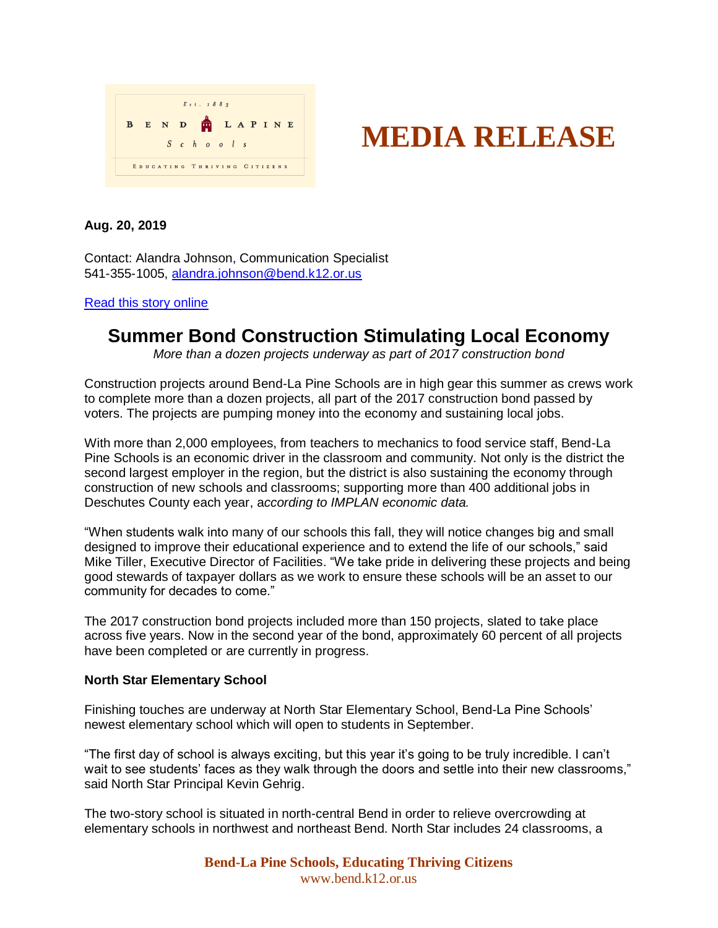

# **MEDIA RELEASE**

# **Aug. 20, 2019**

Contact: Alandra Johnson, Communication Specialist 541-355-1005, [alandra.johnson@bend.k12.or.us](mailto:alandra.johnson@bend.k12.or.us)

#### [Read this story online](https://www.bend.k12.or.us/district/news-events/news/2019/08/construction-stimulating-local-economy)

# **Summer Bond Construction Stimulating Local Economy**

*More than a dozen projects underway as part of 2017 construction bond*

Construction projects around Bend-La Pine Schools are in high gear this summer as crews work to complete more than a dozen projects, all part of the 2017 construction bond passed by voters. The projects are pumping money into the economy and sustaining local jobs.

With more than 2,000 employees, from teachers to mechanics to food service staff, Bend-La Pine Schools is an economic driver in the classroom and community. Not only is the district the second largest employer in the region, but the district is also sustaining the economy through construction of new schools and classrooms; supporting more than 400 additional jobs in Deschutes County each year, a*ccording to IMPLAN economic data.*

"When students walk into many of our schools this fall, they will notice changes big and small designed to improve their educational experience and to extend the life of our schools," said Mike Tiller, Executive Director of Facilities. "We take pride in delivering these projects and being good stewards of taxpayer dollars as we work to ensure these schools will be an asset to our community for decades to come."

The 2017 construction bond projects included more than 150 projects, slated to take place across five years. Now in the second year of the bond, approximately 60 percent of all projects have been completed or are currently in progress.

# **North Star Elementary School**

Finishing touches are underway at North Star Elementary School, Bend-La Pine Schools' newest elementary school which will open to students in September.

"The first day of school is always exciting, but this year it's going to be truly incredible. I can't wait to see students' faces as they walk through the doors and settle into their new classrooms," said North Star Principal Kevin Gehrig.

The two-story school is situated in north-central Bend in order to relieve overcrowding at elementary schools in northwest and northeast Bend. North Star includes 24 classrooms, a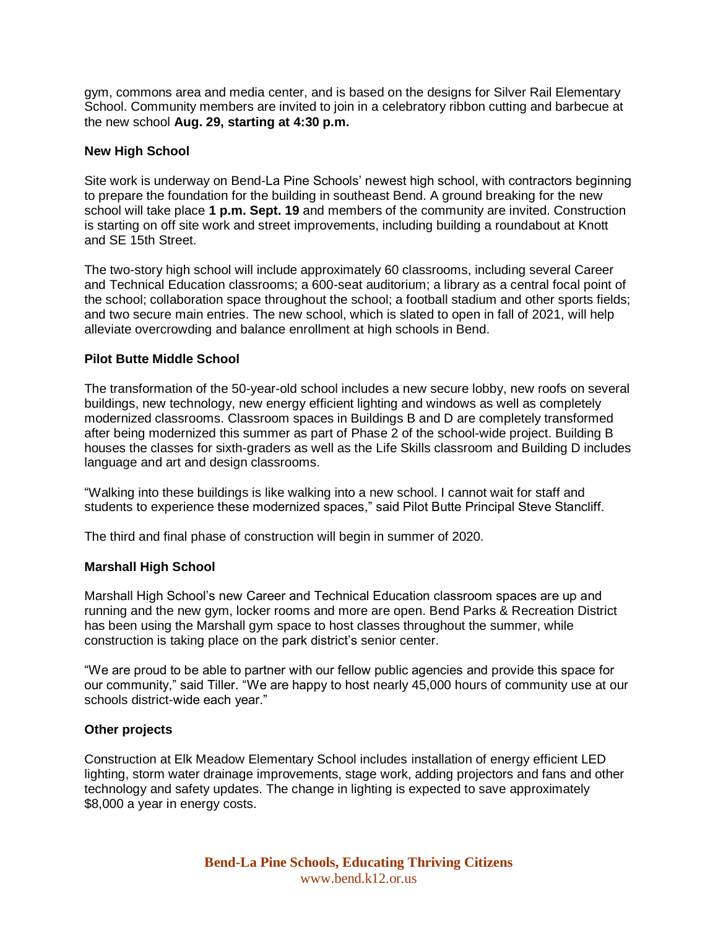gym, commons area and media center, and is based on the designs for Silver Rail Elementary School. Community members are invited to join in a celebratory ribbon cutting and barbecue at the new school **Aug. 29, starting at 4:30 p.m.**

#### **New High School**

Site work is underway on Bend-La Pine Schools' newest high school, with contractors beginning to prepare the foundation for the building in southeast Bend. A ground breaking for the new school will take place **1 p.m. Sept. 19** and members of the community are invited. Construction is starting on off site work and street improvements, including building a roundabout at Knott and SE 15th Street.

The two-story high school will include approximately 60 classrooms, including several Career and Technical Education classrooms; a 600-seat auditorium; a library as a central focal point of the school; collaboration space throughout the school; a football stadium and other sports fields; and two secure main entries. The new school, which is slated to open in fall of 2021, will help alleviate overcrowding and balance enrollment at high schools in Bend.

#### **Pilot Butte Middle School**

The transformation of the 50-year-old school includes a new secure lobby, new roofs on several buildings, new technology, new energy efficient lighting and windows as well as completely modernized classrooms. Classroom spaces in Buildings B and D are completely transformed after being modernized this summer as part of Phase 2 of the school-wide project. Building B houses the classes for sixth-graders as well as the Life Skills classroom and Building D includes language and art and design classrooms.

"Walking into these buildings is like walking into a new school. I cannot wait for staff and students to experience these modernized spaces," said Pilot Butte Principal Steve Stancliff.

The third and final phase of construction will begin in summer of 2020.

# **Marshall High School**

Marshall High School's new Career and Technical Education classroom spaces are up and running and the new gym, locker rooms and more are open. Bend Parks & Recreation District has been using the Marshall gym space to host classes throughout the summer, while construction is taking place on the park district's senior center.

"We are proud to be able to partner with our fellow public agencies and provide this space for our community," said Tiller. "We are happy to host nearly 45,000 hours of community use at our schools district-wide each year."

#### **Other projects**

Construction at Elk Meadow Elementary School includes installation of energy efficient LED lighting, storm water drainage improvements, stage work, adding projectors and fans and other technology and safety updates. The change in lighting is expected to save approximately \$8,000 a year in energy costs.